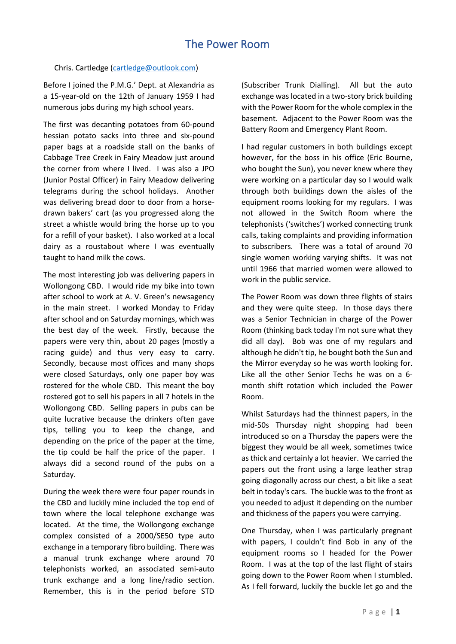## The Power Room

## Chris. Cartledge [\(cartledge@outlook.com\)](mailto:cartledge@outlook.com)

Before I joined the P.M.G.' Dept. at Alexandria as a 15-year-old on the 12th of January 1959 I had numerous jobs during my high school years.

The first was decanting potatoes from 60-pound hessian potato sacks into three and six-pound paper bags at a roadside stall on the banks of Cabbage Tree Creek in Fairy Meadow just around the corner from where I lived. I was also a JPO (Junior Postal Officer) in Fairy Meadow delivering telegrams during the school holidays. Another was delivering bread door to door from a horsedrawn bakers' cart (as you progressed along the street a whistle would bring the horse up to you for a refill of your basket). I also worked at a local dairy as a roustabout where I was eventually taught to hand milk the cows.

The most interesting job was delivering papers in Wollongong CBD. I would ride my bike into town after school to work at A. V. Green's newsagency in the main street. I worked Monday to Friday after school and on Saturday mornings, which was the best day of the week. Firstly, because the papers were very thin, about 20 pages (mostly a racing guide) and thus very easy to carry. Secondly, because most offices and many shops were closed Saturdays, only one paper boy was rostered for the whole CBD. This meant the boy rostered got to sell his papers in all 7 hotels in the Wollongong CBD. Selling papers in pubs can be quite lucrative because the drinkers often gave tips, telling you to keep the change, and depending on the price of the paper at the time, the tip could be half the price of the paper. I always did a second round of the pubs on a Saturday.

During the week there were four paper rounds in the CBD and luckily mine included the top end of town where the local telephone exchange was located. At the time, the Wollongong exchange complex consisted of a 2000/SE50 type auto exchange in a temporary fibro building. There was a manual trunk exchange where around 70 telephonists worked, an associated semi-auto trunk exchange and a long line/radio section. Remember, this is in the period before STD

(Subscriber Trunk Dialling). All but the auto exchange was located in a two-story brick building with the Power Room for the whole complex in the basement. Adjacent to the Power Room was the Battery Room and Emergency Plant Room.

I had regular customers in both buildings except however, for the boss in his office (Eric Bourne, who bought the Sun), you never knew where they were working on a particular day so I would walk through both buildings down the aisles of the equipment rooms looking for my regulars. I was not allowed in the Switch Room where the telephonists ('switches') worked connecting trunk calls, taking complaints and providing information to subscribers. There was a total of around 70 single women working varying shifts. It was not until 1966 that married women were allowed to work in the public service.

The Power Room was down three flights of stairs and they were quite steep. In those days there was a Senior Technician in charge of the Power Room (thinking back today I'm not sure what they did all day). Bob was one of my regulars and although he didn't tip, he bought both the Sun and the Mirror everyday so he was worth looking for. Like all the other Senior Techs he was on a 6 month shift rotation which included the Power Room.

Whilst Saturdays had the thinnest papers, in the mid-50s Thursday night shopping had been introduced so on a Thursday the papers were the biggest they would be all week, sometimes twice as thick and certainly a lot heavier. We carried the papers out the front using a large leather strap going diagonally across our chest, a bit like a seat belt in today's cars. The buckle was to the front as you needed to adjust it depending on the number and thickness of the papers you were carrying.

One Thursday, when I was particularly pregnant with papers, I couldn't find Bob in any of the equipment rooms so I headed for the Power Room. I was at the top of the last flight of stairs going down to the Power Room when I stumbled. As I fell forward, luckily the buckle let go and the